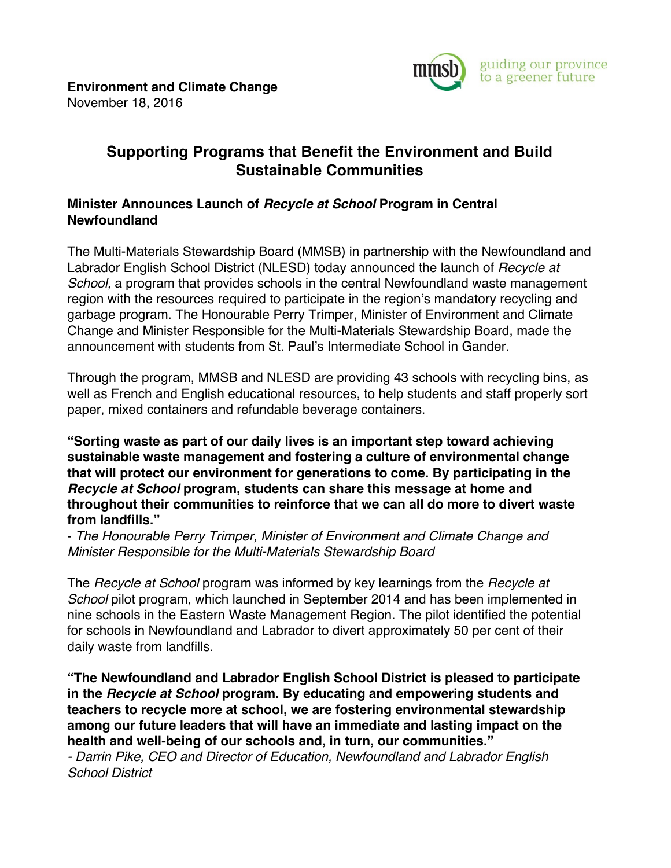

## **Supporting Programs that Benefit the Environment and Build Sustainable Communities**

## **Minister Announces Launch of** *Recycle at School* **Program in Central Newfoundland**

The Multi-Materials Stewardship Board (MMSB) in partnership with the Newfoundland and Labrador English School District (NLESD) today announced the launch of *Recycle at School*, a program that provides schools in the central Newfoundland waste management region with the resources required to participate in the region's mandatory recycling and garbage program. The Honourable Perry Trimper, Minister of Environment and Climate Change and Minister Responsible for the Multi-Materials Stewardship Board, made the announcement with students from St. Paul's Intermediate School in Gander.

Through the program, MMSB and NLESD are providing 43 schools with recycling bins, as well as French and English educational resources, to help students and staff properly sort paper, mixed containers and refundable beverage containers.

**"Sorting waste as part of our daily lives is an important step toward achieving sustainable waste management and fostering a culture of environmental change that will protect our environment for generations to come. By participating in the**  *Recycle at School* **program, students can share this message at home and throughout their communities to reinforce that we can all do more to divert waste from landfills."**

- *The Honourable Perry Trimper, Minister of Environment and Climate Change and Minister Responsible for the Multi-Materials Stewardship Board*

The *Recycle at School* program was informed by key learnings from the *Recycle at School* pilot program, which launched in September 2014 and has been implemented in nine schools in the Eastern Waste Management Region. The pilot identified the potential for schools in Newfoundland and Labrador to divert approximately 50 per cent of their daily waste from landfills.

**"The Newfoundland and Labrador English School District is pleased to participate in the** *Recycle at School* **program. By educating and empowering students and teachers to recycle more at school, we are fostering environmental stewardship among our future leaders that will have an immediate and lasting impact on the health and well-being of our schools and, in turn, our communities."**

*- Darrin Pike, CEO and Director of Education, Newfoundland and Labrador English School District*